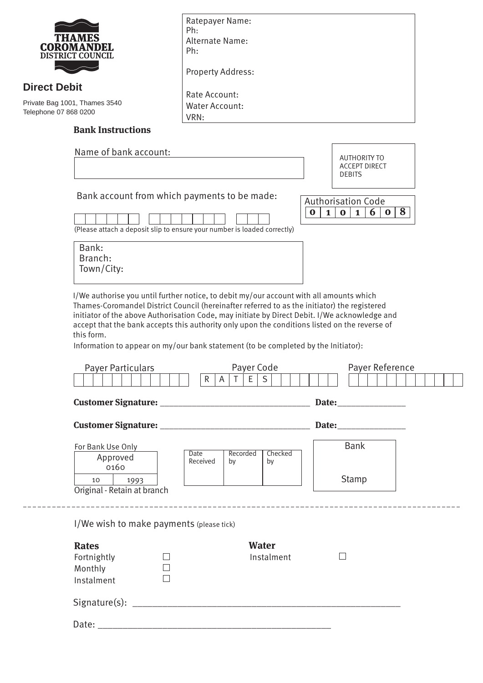|                                                                               | <b>COROMANDEL</b><br><b>DISTRICT COUNCIL</b>                                                                                                                                                                                                                                                                                                                                                                                                                                                  | Ratepayer Name:<br>Ph:<br>Alternate Name:<br>Ph:                                                        |  |  |
|-------------------------------------------------------------------------------|-----------------------------------------------------------------------------------------------------------------------------------------------------------------------------------------------------------------------------------------------------------------------------------------------------------------------------------------------------------------------------------------------------------------------------------------------------------------------------------------------|---------------------------------------------------------------------------------------------------------|--|--|
|                                                                               |                                                                                                                                                                                                                                                                                                                                                                                                                                                                                               | <b>Property Address:</b>                                                                                |  |  |
| <b>Direct Debit</b><br>Private Bag 1001, Thames 3540<br>Telephone 07 868 0200 |                                                                                                                                                                                                                                                                                                                                                                                                                                                                                               | Rate Account:<br><b>Water Account:</b><br>VRN:                                                          |  |  |
|                                                                               | <b>Bank Instructions</b>                                                                                                                                                                                                                                                                                                                                                                                                                                                                      |                                                                                                         |  |  |
|                                                                               | Name of bank account:                                                                                                                                                                                                                                                                                                                                                                                                                                                                         | <b>AUTHORITY TO</b>                                                                                     |  |  |
|                                                                               |                                                                                                                                                                                                                                                                                                                                                                                                                                                                                               | <b>ACCEPT DIRECT</b><br><b>DEBITS</b>                                                                   |  |  |
|                                                                               | Bank account from which payments to be made:                                                                                                                                                                                                                                                                                                                                                                                                                                                  | <b>Authorisation Code</b><br>8<br>6<br>$\bf{0}$<br>$\bf{0}$<br>$\mathbf{1}$<br>$\bf{0}$<br>$\mathbf{1}$ |  |  |
|                                                                               | Bank:<br>Branch:<br>Town/City:                                                                                                                                                                                                                                                                                                                                                                                                                                                                | (Please attach a deposit slip to ensure your number is loaded correctly)                                |  |  |
|                                                                               | I/We authorise you until further notice, to debit my/our account with all amounts which<br>Thames-Coromandel District Council (hereinafter referred to as the initiator) the registered<br>initiator of the above Authorisation Code, may initiate by Direct Debit. I/We acknowledge and<br>accept that the bank accepts this authority only upon the conditions listed on the reverse of<br>this form.<br>Information to appear on my/our bank statement (to be completed by the Initiator): |                                                                                                         |  |  |
|                                                                               | <b>Payer Particulars</b>                                                                                                                                                                                                                                                                                                                                                                                                                                                                      | Payer Code<br>Payer Reference                                                                           |  |  |
|                                                                               |                                                                                                                                                                                                                                                                                                                                                                                                                                                                                               | $R \mid A \mid T \mid E \mid S \mid$                                                                    |  |  |
|                                                                               |                                                                                                                                                                                                                                                                                                                                                                                                                                                                                               |                                                                                                         |  |  |
|                                                                               |                                                                                                                                                                                                                                                                                                                                                                                                                                                                                               |                                                                                                         |  |  |
|                                                                               | For Bank Use Only<br>Approved                                                                                                                                                                                                                                                                                                                                                                                                                                                                 | <b>Bank</b><br><b>Date</b><br>Recorded<br>Checked<br>Received<br>by<br>by                               |  |  |
|                                                                               | 0160<br>10<br>1993<br>Original - Retain at branch                                                                                                                                                                                                                                                                                                                                                                                                                                             | Stamp                                                                                                   |  |  |
|                                                                               | I/We wish to make payments (please tick)                                                                                                                                                                                                                                                                                                                                                                                                                                                      |                                                                                                         |  |  |
|                                                                               | <b>Rates</b><br>Fortnightly<br>Monthly<br>Instalment                                                                                                                                                                                                                                                                                                                                                                                                                                          | <b>Water</b><br>Instalment                                                                              |  |  |
|                                                                               |                                                                                                                                                                                                                                                                                                                                                                                                                                                                                               |                                                                                                         |  |  |
|                                                                               |                                                                                                                                                                                                                                                                                                                                                                                                                                                                                               |                                                                                                         |  |  |